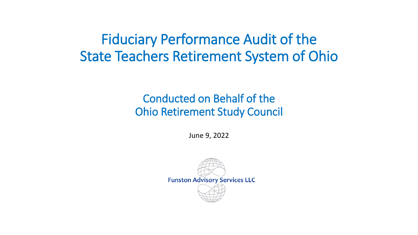#### Fiduciary Performance Audit of the State Teachers Retirement System of Ohio

#### Conducted on Behalf of the Ohio Retirement Study Council

June 9, 2022

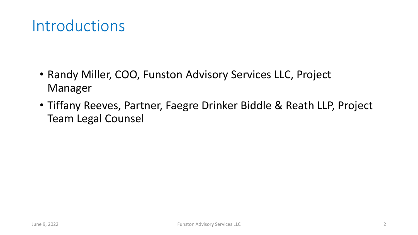## **Introductions**

- Randy Miller, COO, Funston Advisory Services LLC, Project Manager
- Tiffany Reeves, Partner, Faegre Drinker Biddle & Reath LLP, Project Team Legal Counsel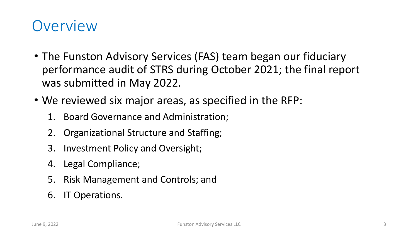#### **Overview**

- The Funston Advisory Services (FAS) team began our fiduciary performance audit of STRS during October 2021; the final report was submitted in May 2022.
- We reviewed six major areas, as specified in the RFP:
	- 1. Board Governance and Administration;
	- 2. Organizational Structure and Staffing;
	- 3. Investment Policy and Oversight;
	- 4. Legal Compliance;
	- 5. Risk Management and Controls; and
	- 6. IT Operations.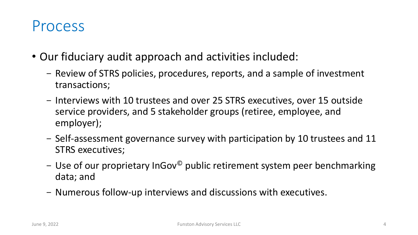#### Process

- Our fiduciary audit approach and activities included:
	- Review of STRS policies, procedures, reports, and a sample of investment transactions;
	- Interviews with 10 trustees and over 25 STRS executives, over 15 outside service providers, and 5 stakeholder groups (retiree, employee, and employer);
	- Self-assessment governance survey with participation by 10 trustees and 11 STRS executives;
	- Use of our proprietary InGov<sup>©</sup> public retirement system peer benchmarking data; and
	- Numerous follow-up interviews and discussions with executives.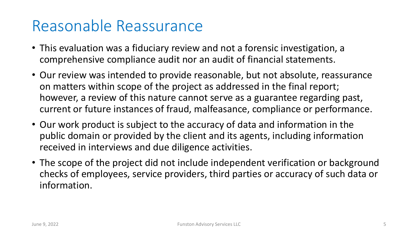#### Reasonable Reassurance

- This evaluation was a fiduciary review and not a forensic investigation, a comprehensive compliance audit nor an audit of financial statements.
- Our review was intended to provide reasonable, but not absolute, reassurance on matters within scope of the project as addressed in the final report; however, a review of this nature cannot serve as a guarantee regarding past, current or future instances of fraud, malfeasance, compliance or performance.
- Our work product is subject to the accuracy of data and information in the public domain or provided by the client and its agents, including information received in interviews and due diligence activities.
- The scope of the project did not include independent verification or background checks of employees, service providers, third parties or accuracy of such data or information.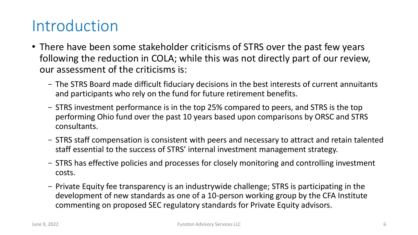# Introduction

- There have been some stakeholder criticisms of STRS over the past few years following the reduction in COLA; while this was not directly part of our review, our assessment of the criticisms is:
	- The STRS Board made difficult fiduciary decisions in the best interests of current annuitants and participants who rely on the fund for future retirement benefits.
	- STRS investment performance is in the top 25% compared to peers, and STRS is the top performing Ohio fund over the past 10 years based upon comparisons by ORSC and STRS consultants.
	- STRS staff compensation is consistent with peers and necessary to attract and retain talented staff essential to the success of STRS' internal investment management strategy.
	- STRS has effective policies and processes for closely monitoring and controlling investment costs.
	- Private Equity fee transparency is an industrywide challenge; STRS is participating in the development of new standards as one of a 10-person working group by the CFA Institute commenting on proposed SEC regulatory standards for Private Equity advisors.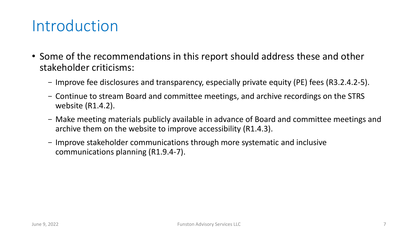## Introduction

- Some of the recommendations in this report should address these and other stakeholder criticisms:
	- Improve fee disclosures and transparency, especially private equity (PE) fees (R3.2.4.2-5).
	- Continue to stream Board and committee meetings, and archive recordings on the STRS website (R1.4.2).
	- Make meeting materials publicly available in advance of Board and committee meetings and archive them on the website to improve accessibility (R1.4.3).
	- Improve stakeholder communications through more systematic and inclusive communications planning (R1.9.4-7).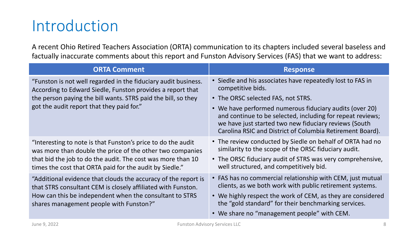# Introduction

A recent Ohio Retired Teachers Association (ORTA) communication to its chapters included several baseless and factually inaccurate comments about this report and Funston Advisory Services (FAS) that we want to address:

| <b>ORTA Comment</b>                                                                                                                                                                                                                                 | <b>Response</b>                                                                                                                                                                                                                             |
|-----------------------------------------------------------------------------------------------------------------------------------------------------------------------------------------------------------------------------------------------------|---------------------------------------------------------------------------------------------------------------------------------------------------------------------------------------------------------------------------------------------|
| "Funston is not well regarded in the fiduciary audit business.<br>According to Edward Siedle, Funston provides a report that<br>the person paying the bill wants. STRS paid the bill, so they<br>got the audit report that they paid for."          | • Siedle and his associates have repeatedly lost to FAS in<br>competitive bids.                                                                                                                                                             |
|                                                                                                                                                                                                                                                     | • The ORSC selected FAS, not STRS.                                                                                                                                                                                                          |
|                                                                                                                                                                                                                                                     | • We have performed numerous fiduciary audits (over 20)<br>and continue to be selected, including for repeat reviews;<br>we have just started two new fiduciary reviews (South<br>Carolina RSIC and District of Columbia Retirement Board). |
| "Interesting to note is that Funston's price to do the audit<br>was more than double the price of the other two companies<br>that bid the job to do the audit. The cost was more than 10<br>times the cost that ORTA paid for the audit by Siedle." | • The review conducted by Siedle on behalf of ORTA had no<br>similarity to the scope of the ORSC fiduciary audit.                                                                                                                           |
|                                                                                                                                                                                                                                                     | • The ORSC fiduciary audit of STRS was very comprehensive,<br>well structured, and competitively bid.                                                                                                                                       |
| "Additional evidence that clouds the accuracy of the report is<br>that STRS consultant CEM is closely affiliated with Funston.<br>How can this be independent when the consultant to STRS<br>shares management people with Funston?"                | • FAS has no commercial relationship with CEM, just mutual<br>clients, as we both work with public retirement systems.                                                                                                                      |
|                                                                                                                                                                                                                                                     | • We highly respect the work of CEM, as they are considered<br>the "gold standard" for their benchmarking services.                                                                                                                         |
|                                                                                                                                                                                                                                                     | • We share no "management people" with CEM.                                                                                                                                                                                                 |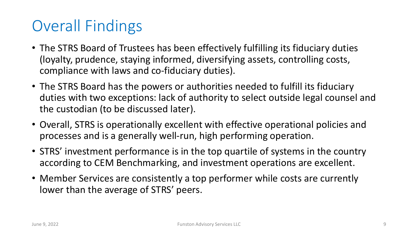# Overall Findings

- The STRS Board of Trustees has been effectively fulfilling its fiduciary duties (loyalty, prudence, staying informed, diversifying assets, controlling costs, compliance with laws and co-fiduciary duties).
- The STRS Board has the powers or authorities needed to fulfill its fiduciary duties with two exceptions: lack of authority to select outside legal counsel and the custodian (to be discussed later).
- Overall, STRS is operationally excellent with effective operational policies and processes and is a generally well-run, high performing operation.
- STRS' investment performance is in the top quartile of systems in the country according to CEM Benchmarking, and investment operations are excellent.
- Member Services are consistently a top performer while costs are currently lower than the average of STRS' peers.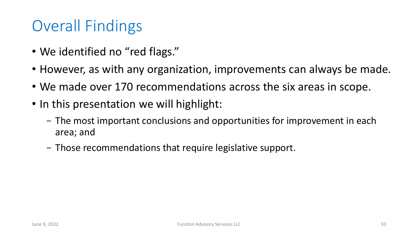# Overall Findings

- We identified no "red flags."
- However, as with any organization, improvements can always be made.
- We made over 170 recommendations across the six areas in scope.
- In this presentation we will highlight:
	- The most important conclusions and opportunities for improvement in each area; and
	- Those recommendations that require legislative support.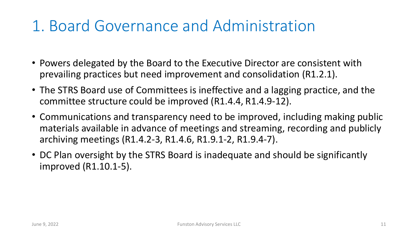#### 1. Board Governance and Administration

- Powers delegated by the Board to the Executive Director are consistent with prevailing practices but need improvement and consolidation (R1.2.1).
- The STRS Board use of Committees is ineffective and a lagging practice, and the committee structure could be improved (R1.4.4, R1.4.9-12).
- Communications and transparency need to be improved, including making public materials available in advance of meetings and streaming, recording and publicly archiving meetings (R1.4.2-3, R1.4.6, R1.9.1-2, R1.9.4-7).
- DC Plan oversight by the STRS Board is inadequate and should be significantly improved (R1.10.1-5).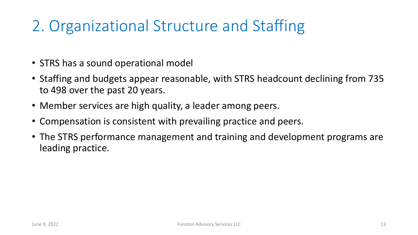# 2. Organizational Structure and Staffing

- STRS has a sound operational model
- Staffing and budgets appear reasonable, with STRS headcount declining from 735 to 498 over the past 20 years.
- Member services are high quality, a leader among peers.
- Compensation is consistent with prevailing practice and peers.
- The STRS performance management and training and development programs are leading practice.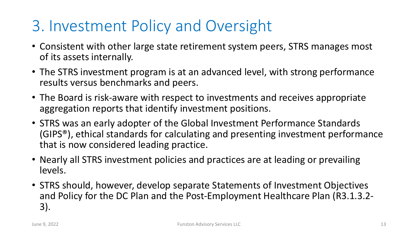# 3. Investment Policy and Oversight

- Consistent with other large state retirement system peers, STRS manages most of its assets internally.
- The STRS investment program is at an advanced level, with strong performance results versus benchmarks and peers.
- The Board is risk-aware with respect to investments and receives appropriate aggregation reports that identify investment positions.
- STRS was an early adopter of the Global Investment Performance Standards (GIPS®), ethical standards for calculating and presenting investment performance that is now considered leading practice.
- Nearly all STRS investment policies and practices are at leading or prevailing levels.
- STRS should, however, develop separate Statements of Investment Objectives and Policy for the DC Plan and the Post-Employment Healthcare Plan (R3.1.3.2- 3).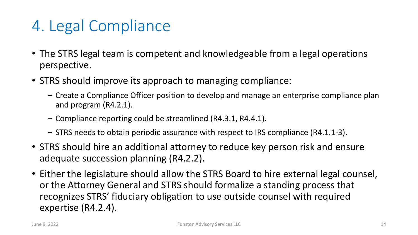# 4. Legal Compliance

- The STRS legal team is competent and knowledgeable from a legal operations perspective.
- STRS should improve its approach to managing compliance:
	- Create a Compliance Officer position to develop and manage an enterprise compliance plan and program (R4.2.1).
	- Compliance reporting could be streamlined (R4.3.1, R4.4.1).
	- STRS needs to obtain periodic assurance with respect to IRS compliance (R4.1.1-3).
- STRS should hire an additional attorney to reduce key person risk and ensure adequate succession planning (R4.2.2).
- Either the legislature should allow the STRS Board to hire external legal counsel, or the Attorney General and STRS should formalize a standing process that recognizes STRS' fiduciary obligation to use outside counsel with required expertise (R4.2.4).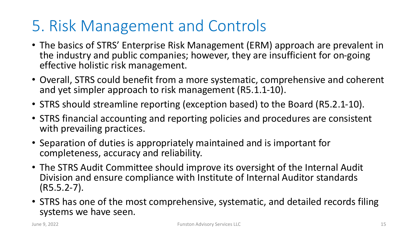# 5. Risk Management and Controls

- The basics of STRS' Enterprise Risk Management (ERM) approach are prevalent in the industry and public companies; however, they are insufficient for on-going effective holistic risk management.
- Overall, STRS could benefit from a more systematic, comprehensive and coherent and yet simpler approach to risk management (R5.1.1-10).
- STRS should streamline reporting (exception based) to the Board (R5.2.1-10).
- STRS financial accounting and reporting policies and procedures are consistent with prevailing practices.
- Separation of duties is appropriately maintained and is important for completeness, accuracy and reliability.
- The STRS Audit Committee should improve its oversight of the Internal Audit Division and ensure compliance with Institute of Internal Auditor standards (R5.5.2-7).
- STRS has one of the most comprehensive, systematic, and detailed records filing systems we have seen.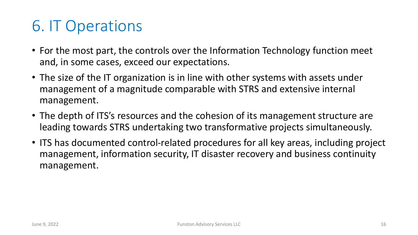## 6. IT Operations

- For the most part, the controls over the Information Technology function meet and, in some cases, exceed our expectations.
- The size of the IT organization is in line with other systems with assets under management of a magnitude comparable with STRS and extensive internal management.
- The depth of ITS's resources and the cohesion of its management structure are leading towards STRS undertaking two transformative projects simultaneously.
- ITS has documented control-related procedures for all key areas, including project management, information security, IT disaster recovery and business continuity management.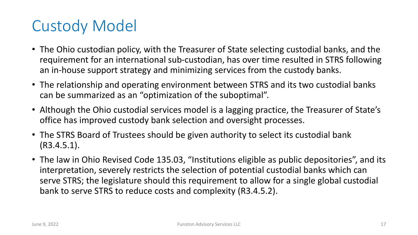## Custody Model

- The Ohio custodian policy, with the Treasurer of State selecting custodial banks, and the requirement for an international sub-custodian, has over time resulted in STRS following an in-house support strategy and minimizing services from the custody banks.
- The relationship and operating environment between STRS and its two custodial banks can be summarized as an "optimization of the suboptimal".
- Although the Ohio custodial services model is a lagging practice, the Treasurer of State's office has improved custody bank selection and oversight processes.
- The STRS Board of Trustees should be given authority to select its custodial bank (R3.4.5.1).
- The law in Ohio Revised Code 135.03, "Institutions eligible as public depositories", and its interpretation, severely restricts the selection of potential custodial banks which can serve STRS; the legislature should this requirement to allow for a single global custodial bank to serve STRS to reduce costs and complexity (R3.4.5.2).